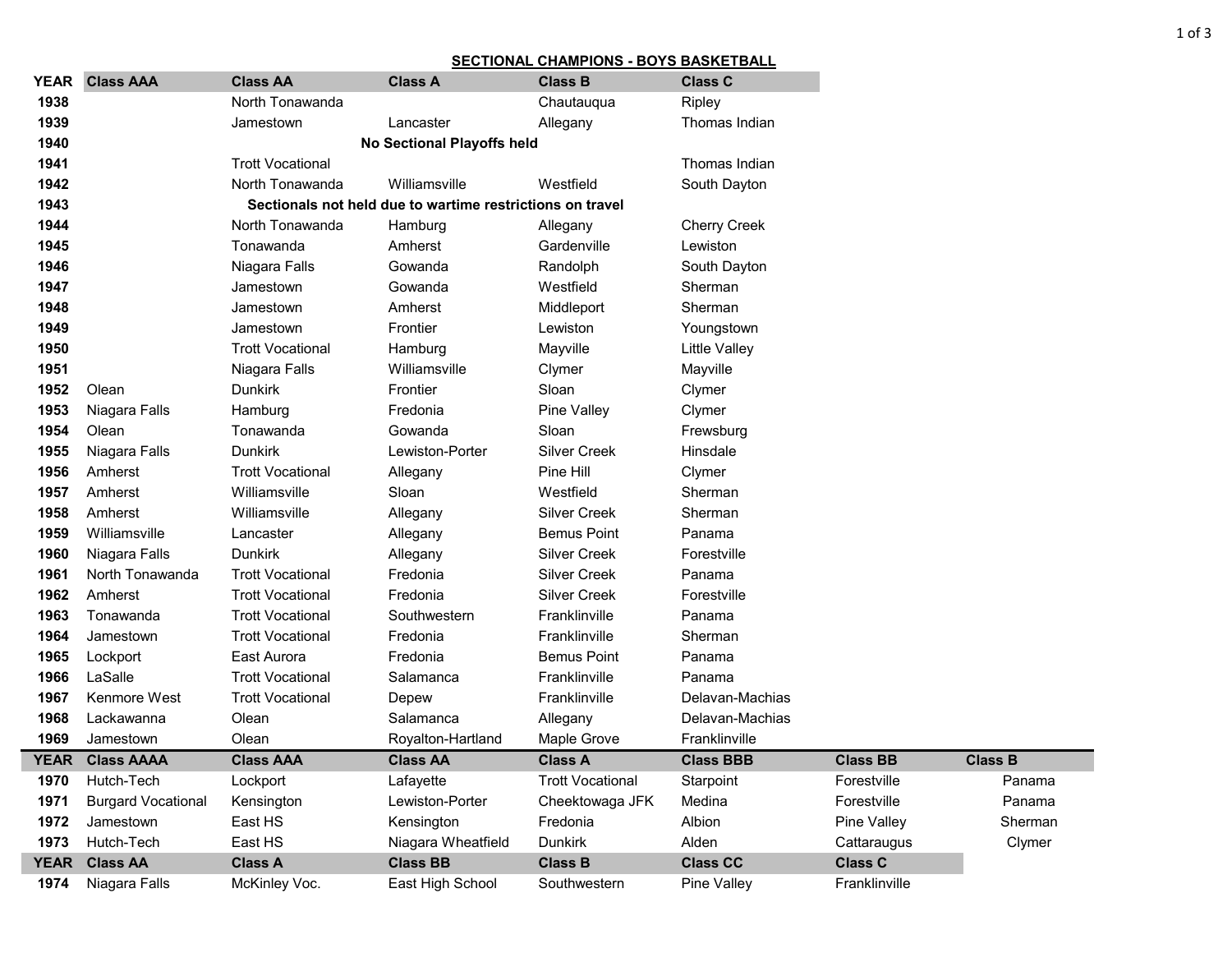## **SECTIONAL CHAMPIONS - BOYS BASKETBALL**

| <b>YEAR</b> | <b>Class AAA</b>          | <b>Class AA</b>            | <b>Class A</b>                                            | <b>Class B</b>          | <b>Class C</b>       |                 |                |  |
|-------------|---------------------------|----------------------------|-----------------------------------------------------------|-------------------------|----------------------|-----------------|----------------|--|
| 1938        |                           | North Tonawanda            |                                                           | Chautauqua              | Ripley               |                 |                |  |
| 1939        |                           | Jamestown                  | Lancaster                                                 | Allegany                | Thomas Indian        |                 |                |  |
| 1940        |                           | No Sectional Playoffs held |                                                           |                         |                      |                 |                |  |
| 1941        | <b>Trott Vocational</b>   |                            |                                                           |                         |                      |                 |                |  |
| 1942        |                           | North Tonawanda            | Williamsville                                             | Westfield               | South Dayton         |                 |                |  |
| 1943        |                           |                            | Sectionals not held due to wartime restrictions on travel |                         |                      |                 |                |  |
| 1944        |                           | North Tonawanda            | Hamburg                                                   | Allegany                | <b>Cherry Creek</b>  |                 |                |  |
| 1945        |                           | Tonawanda                  | Amherst                                                   | Gardenville             | Lewiston             |                 |                |  |
| 1946        |                           | Niagara Falls              | Gowanda                                                   | Randolph                | South Dayton         |                 |                |  |
| 1947        |                           | Jamestown                  | Gowanda                                                   | Westfield               | Sherman              |                 |                |  |
| 1948        |                           | Jamestown                  | Amherst                                                   | Middleport              | Sherman              |                 |                |  |
| 1949        |                           | Jamestown                  | Frontier                                                  | Lewiston                | Youngstown           |                 |                |  |
| 1950        |                           | <b>Trott Vocational</b>    | Hamburg                                                   | Mayville                | <b>Little Valley</b> |                 |                |  |
| 1951        |                           | Niagara Falls              | Williamsville                                             | Clymer                  | Mayville             |                 |                |  |
| 1952        | Olean                     | <b>Dunkirk</b>             | Frontier                                                  | Sloan                   | Clymer               |                 |                |  |
| 1953        | Niagara Falls             | Hamburg                    | Fredonia                                                  | Pine Valley             | Clymer               |                 |                |  |
| 1954        | Olean                     | Tonawanda                  | Gowanda                                                   | Sloan                   | Frewsburg            |                 |                |  |
| 1955        | Niagara Falls             | <b>Dunkirk</b>             | Lewiston-Porter                                           | <b>Silver Creek</b>     | Hinsdale             |                 |                |  |
| 1956        | Amherst                   | <b>Trott Vocational</b>    | Allegany                                                  | Pine Hill               | Clymer               |                 |                |  |
| 1957        | Amherst                   | Williamsville              | Sloan                                                     | Westfield               | Sherman              |                 |                |  |
| 1958        | Amherst                   | Williamsville              | Allegany                                                  | <b>Silver Creek</b>     | Sherman              |                 |                |  |
| 1959        | Williamsville             | Lancaster                  | Allegany                                                  | <b>Bemus Point</b>      | Panama               |                 |                |  |
| 1960        | Niagara Falls             | <b>Dunkirk</b>             | Allegany                                                  | <b>Silver Creek</b>     | Forestville          |                 |                |  |
| 1961        | North Tonawanda           | <b>Trott Vocational</b>    | Fredonia                                                  | <b>Silver Creek</b>     | Panama               |                 |                |  |
| 1962        | Amherst                   | <b>Trott Vocational</b>    | Fredonia                                                  | <b>Silver Creek</b>     | Forestville          |                 |                |  |
| 1963        | Tonawanda                 | <b>Trott Vocational</b>    | Southwestern                                              | Franklinville           | Panama               |                 |                |  |
| 1964        | Jamestown                 | <b>Trott Vocational</b>    | Fredonia                                                  | Franklinville           | Sherman              |                 |                |  |
| 1965        | Lockport                  | East Aurora                | Fredonia                                                  | <b>Bemus Point</b>      | Panama               |                 |                |  |
| 1966        | LaSalle                   | <b>Trott Vocational</b>    | Salamanca                                                 | Franklinville           | Panama               |                 |                |  |
| 1967        | Kenmore West              | <b>Trott Vocational</b>    | Depew                                                     | Franklinville           | Delavan-Machias      |                 |                |  |
| 1968        | Lackawanna                | Olean                      | Salamanca                                                 | Allegany                | Delavan-Machias      |                 |                |  |
| 1969        | Jamestown                 | Olean                      | Royalton-Hartland                                         | Maple Grove             | Franklinville        |                 |                |  |
| <b>YEAR</b> | <b>Class AAAA</b>         | <b>Class AAA</b>           | <b>Class AA</b>                                           | <b>Class A</b>          | <b>Class BBB</b>     | <b>Class BB</b> | <b>Class B</b> |  |
| 1970        | Hutch-Tech                | Lockport                   | Lafayette                                                 | <b>Trott Vocational</b> | Starpoint            | Forestville     | Panama         |  |
| 1971        | <b>Burgard Vocational</b> | Kensington                 | Lewiston-Porter                                           | Cheektowaga JFK         | Medina               | Forestville     | Panama         |  |
| 1972        | Jamestown                 | East HS                    | Kensington                                                | Fredonia                | Albion               | Pine Valley     | Sherman        |  |
| 1973        | Hutch-Tech                | East HS                    | Niagara Wheatfield                                        | <b>Dunkirk</b>          | Alden                | Cattaraugus     | Clymer         |  |
| <b>YEAR</b> | <b>Class AA</b>           | <b>Class A</b>             | <b>Class BB</b>                                           | <b>Class B</b>          | <b>Class CC</b>      | <b>Class C</b>  |                |  |
| 1974        | Niagara Falls             | McKinley Voc.              | East High School                                          | Southwestern            | Pine Valley          | Franklinville   |                |  |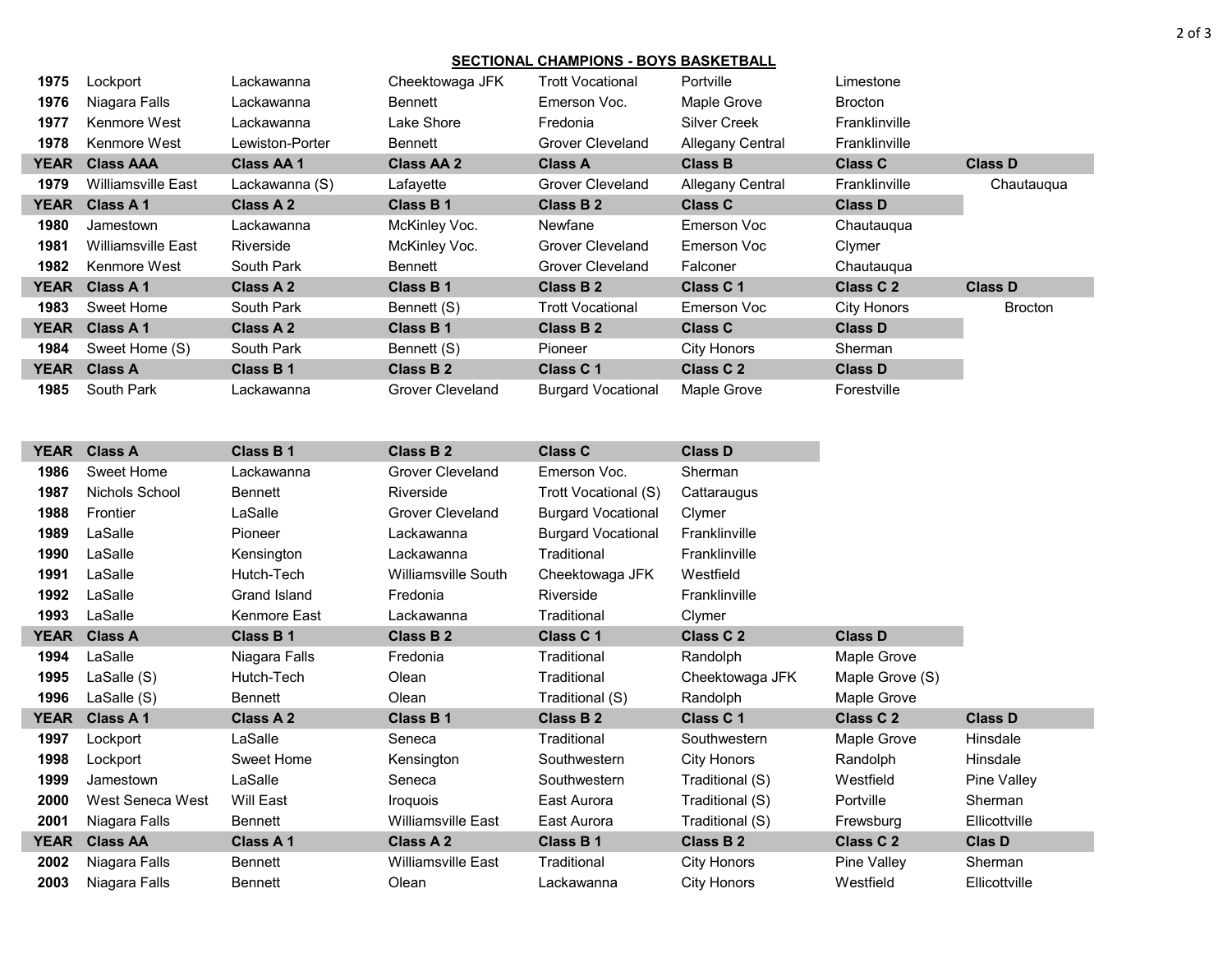## **SECTIONAL CHAMPIONS - BOYS BASKETBALL**

| 1975        | Lockport                  | Lackawanna       | Cheektowaga JFK         | <b>Trott Vocational</b>   | <b>Portville</b>        | Limestone      |                |
|-------------|---------------------------|------------------|-------------------------|---------------------------|-------------------------|----------------|----------------|
| 1976        | Niagara Falls             | Lackawanna       | Bennett                 | Emerson Voc.              | Maple Grove             | <b>Brocton</b> |                |
| 1977        | Kenmore West              | Lackawanna       | Lake Shore              | Fredonia                  | <b>Silver Creek</b>     | Franklinville  |                |
| 1978        | Kenmore West              | Lewiston-Porter  | Bennett                 | Grover Cleveland          | <b>Allegany Central</b> | Franklinville  |                |
|             | YEAR Class AAA            | <b>Class AA1</b> | <b>Class AA 2</b>       | <b>Class A</b>            | <b>Class B</b>          | <b>Class C</b> | <b>Class D</b> |
| 1979        | <b>Williamsville East</b> | Lackawanna (S)   | Lafayette               | Grover Cleveland          | Allegany Central        | Franklinville  | Chautauqua     |
| YEAR        | <b>Class A1</b>           | Class A 2        | Class B 1               | Class B 2                 | <b>Class C</b>          | <b>Class D</b> |                |
| 1980        | Jamestown                 | Lackawanna       | McKinley Voc.           | Newfane                   | Emerson Voc             | Chautauqua     |                |
| 1981        | <b>Williamsville East</b> | Riverside        | McKinley Voc.           | Grover Cleveland          | Emerson Voc             | Clymer         |                |
| 1982        | Kenmore West              | South Park       | Bennett                 | Grover Cleveland          | Falconer                | Chautaugua     |                |
|             | YEAR Class A 1            | Class A 2        | Class B 1               | Class B 2                 | Class C 1               | Class C 2      | <b>Class D</b> |
| 1983        | Sweet Home                | South Park       | Bennett (S)             | <b>Trott Vocational</b>   | Emerson Voc             | City Honors    | <b>Brocton</b> |
| <b>YEAR</b> | Class A 1                 | Class A 2        | Class B 1               | Class B 2                 | <b>Class C</b>          | <b>Class D</b> |                |
| 1984        | Sweet Home (S)            | South Park       | Bennett (S)             | Pioneer                   | City Honors             | Sherman        |                |
|             | YEAR Class A              | Class B 1        | Class B 2               | Class C 1                 | Class C 2               | <b>Class D</b> |                |
| 1985        | South Park                | Lackawanna       | <b>Grover Cleveland</b> | <b>Burgard Vocational</b> | Maple Grove             | Forestville    |                |

| <b>YEAR</b> | <b>Class A</b>   | Class B1       | <b>Class B2</b>           | <b>Class C</b>            | <b>Class D</b>     |                      |                |
|-------------|------------------|----------------|---------------------------|---------------------------|--------------------|----------------------|----------------|
| 1986        | Sweet Home       | Lackawanna     | <b>Grover Cleveland</b>   | Emerson Voc.              | Sherman            |                      |                |
| 1987        | Nichols School   | <b>Bennett</b> | Riverside                 | Trott Vocational (S)      | Cattaraugus        |                      |                |
| 1988        | Frontier         | LaSalle        | <b>Grover Cleveland</b>   | <b>Burgard Vocational</b> | Clymer             |                      |                |
| 1989        | LaSalle          | Pioneer        | Lackawanna                | <b>Burgard Vocational</b> | Franklinville      |                      |                |
| 1990        | LaSalle          | Kensington     | Lackawanna                | Traditional               | Franklinville      |                      |                |
| 1991        | LaSalle          | Hutch-Tech     | Williamsville South       | Cheektowaga JFK           | Westfield          |                      |                |
| 1992        | LaSalle          | Grand Island   | Fredonia                  | Riverside                 | Franklinville      |                      |                |
| 1993        | LaSalle          | Kenmore East   | Lackawanna                | Traditional               | Clymer             |                      |                |
| <b>YEAR</b> | <b>Class A</b>   | Class B 1      | Class B 2                 | Class C 1                 | <b>Class C 2</b>   | <b>Class D</b>       |                |
| 1994        | LaSalle          | Niagara Falls  | Fredonia                  | Traditional               | Randolph           | Maple Grove          |                |
| 1995        | LaSalle (S)      | Hutch-Tech     | Olean                     | Traditional               | Cheektowaga JFK    | Maple Grove (S)      |                |
| 1996        | LaSalle (S)      | Bennett        | Olean                     | Traditional (S)           | Randolph           | Maple Grove          |                |
| <b>YEAR</b> | Class A 1        | Class A 2      | <b>Class B1</b>           | <b>Class B2</b>           | Class C1           | Class C <sub>2</sub> | <b>Class D</b> |
| 1997        | Lockport         | LaSalle        | Seneca                    | Traditional               | Southwestern       | Maple Grove          | Hinsdale       |
| 1998        | Lockport         | Sweet Home     | Kensington                | Southwestern              | City Honors        | Randolph             | Hinsdale       |
| 1999        | Jamestown        | LaSalle        | Seneca                    | Southwestern              | Traditional (S)    | Westfield            | Pine Valley    |
| 2000        | West Seneca West | Will East      | Iroquois                  | East Aurora               | Traditional (S)    | Portville            | Sherman        |
| 2001        | Niagara Falls    | Bennett        | <b>Williamsville East</b> | East Aurora               | Traditional (S)    | Frewsburg            | Ellicottville  |
| <b>YEAR</b> | <b>Class AA</b>  | Class A 1      | Class A 2                 | Class B 1                 | <b>Class B2</b>    | Class C 2            | <b>Clas D</b>  |
| 2002        | Niagara Falls    | Bennett        | Williamsville East        | Traditional               | City Honors        | Pine Valley          | Sherman        |
| 2003        | Niagara Falls    | Bennett        | Olean                     | Lackawanna                | <b>City Honors</b> | Westfield            | Ellicottville  |